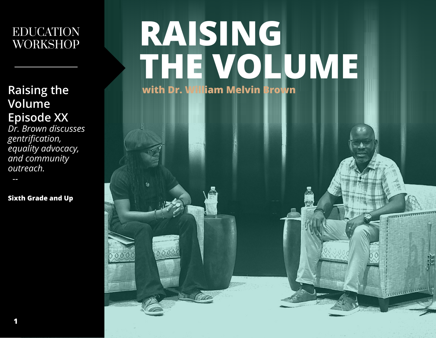### EDUCATION WORKSHOP

**Raising the Volume Episode XX**

*Dr. Brown discusses gentrification, equality advocacy, and community outreach.*

 *--*

**Sixth Grade and Up**

# **RAISING THE VOLUME with Dr. William Melvin Brown**

 $00$ 

**TELEVISION** 

ستغسسسه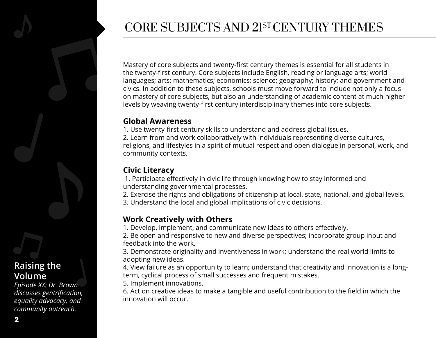

#### **Raising the Volume**

*Episode XX: Dr. Brown discusses gentrification, equality advocacy, and community outreach.*

### CORE SUBJECTS AND 21ST CENTURY THEMES

Mastery of core subjects and twenty-first century themes is essential for all students in the twenty-first century. Core subjects include English, reading or language arts; world languages; arts; mathematics; economics; science; geography; history; and government and civics. In addition to these subjects, schools must move forward to include not only a focus on mastery of core subjects, but also an understanding of academic content at much higher levels by weaving twenty-first century interdisciplinary themes into core subjects.

#### **Global Awareness**

1. Use twenty-first century skills to understand and address global issues. 2. Learn from and work collaboratively with individuals representing diverse cultures, religions, and lifestyles in a spirit of mutual respect and open dialogue in personal, work, and community contexts.

#### **Civic Literacy**

 1. Participate effectively in civic life through knowing how to stay informed and understanding governmental processes.

2. Exercise the rights and obligations of citizenship at local, state, national, and global levels. 3. Understand the local and global implications of civic decisions.

#### **Work Creatively with Others**

1. Develop, implement, and communicate new ideas to others effectively.

2. Be open and responsive to new and diverse perspectives; incorporate group input and feedback into the work.

3. Demonstrate originality and inventiveness in work; understand the real world limits to adopting new ideas.

4. View failure as an opportunity to learn; understand that creativity and innovation is a longterm, cyclical process of small successes and frequent mistakes.

5. Implement innovations.

6. Act on creative ideas to make a tangible and useful contribution to the field in which the innovation will occur.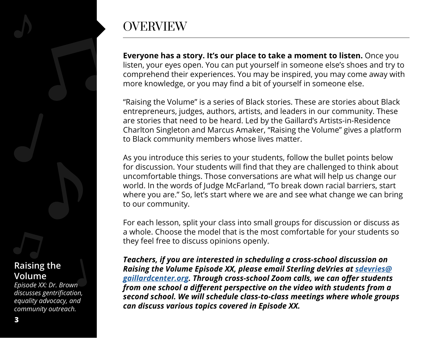## **OVERVIEW**

**Everyone has a story. It's our place to take a moment to listen.** Once you listen, your eyes open. You can put yourself in someone else's shoes and try to comprehend their experiences. You may be inspired, you may come away with more knowledge, or you may find a bit of yourself in someone else.

"Raising the Volume" is a series of Black stories. These are stories about Black entrepreneurs, judges, authors, artists, and leaders in our community. These are stories that need to be heard. Led by the Gaillard's Artists-in-Residence Charlton Singleton and Marcus Amaker, "Raising the Volume" gives a platform to Black community members whose lives matter.

As you introduce this series to your students, follow the bullet points below for discussion. Your students will find that they are challenged to think about uncomfortable things. Those conversations are what will help us change our world. In the words of Judge McFarland, "To break down racial barriers, start where you are." So, let's start where we are and see what change we can bring to our community.

For each lesson, split your class into small groups for discussion or discuss as a whole. Choose the model that is the most comfortable for your students so they feel free to discuss opinions openly.

*Teachers, if you are interested in scheduling a cross-school discussion on Raising the Volume Episode XX, please email Sterling deVries at [sdevries@](mailto:sdevries%40gaillardcenter.org?subject=) [gaillardcenter.org](mailto:sdevries%40gaillardcenter.org?subject=). Through cross-school Zoom calls, we can offer students from one school a different perspective on the video with students from a second school. We will schedule class-to-class meetings where whole groups can discuss various topics covered in Episode XX.*

#### **Raising the Volume**

*Episode XX: Dr. Brown discusses gentrification, equality advocacy, and community outreach.*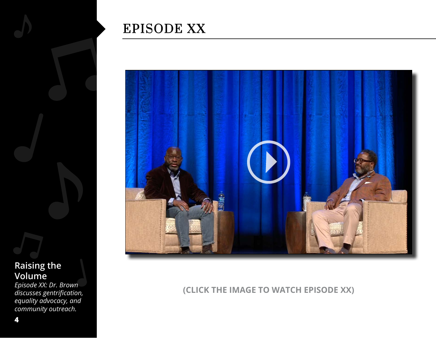

*Episode XX: Dr. Brown discusses gentrification, equality advocacy, and community outreach.*

### EPISODE XX



**(CLICK THE IMAGE TO WATCH EPISODE XX)**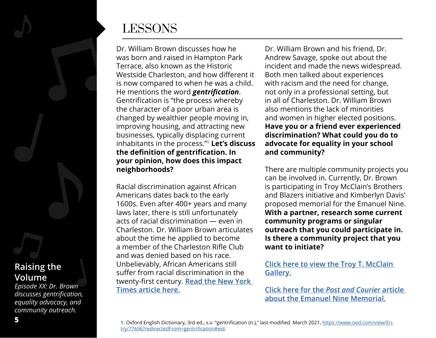

#### **Raising the Volume**

*Episode XX: Dr. Brown discusses gentrification, equality advocacy, and community outreach.*

### LESSONS

Dr. William Brown discusses how he was born and raised in Hampton Park Terrace, also known as the Historic Westside Charleston, and how different it is now compared to when he was a child. He mentions the word *gentrification*. Gentrification is "the process whereby the character of a poor urban area is changed by wealthier people moving in, improving housing, and attracting new businesses, typically displacing current inhabitants in the process."<sup>1</sup> **Let's discuss the definition of gentrification. In your opinion, how does this impact neighborhoods?**

Racial discrimination against African Americans dates back to the early 1600s. Even after 400+ years and many laws later, there is still unfortunately acts of racial discrimination — even in Charleston. Dr. William Brown articulates about the time he applied to become a member of the Charleston Rifle Club and was denied based on his race. Unbelievably, African Americans still suffer from racial discrimination in the twenty-first century. **[Read the New York](https://www.nytimes.com/2018/12/18/us/charleston-rifle-club-black-member.html)  [Times article here.](https://www.nytimes.com/2018/12/18/us/charleston-rifle-club-black-member.html)**

Dr. William Brown and his friend, Dr. Andrew Savage, spoke out about the incident and made the news widespread. Both men talked about experiences with racism and the need for change, not only in a professional setting, but in all of Charleston. Dr. William Brown also mentions the lack of minorities and women in higher elected positions. **Have you or a friend ever experienced discrimination? What could you do to advocate for equality in your school and community?**

There are multiple community projects you can be involved in. Currently, Dr. Brown is participating in Troy McClain's Brothers and Blazers initiative and Kimberlyn Davis' proposed memorial for the Emanuel Nine. **With a partner, research some current community programs or singular outreach that you could participate in. Is there a community project that you want to initiate?** 

**[Click here to view the Troy T. McClain](https://www.troytmcclain.com/gallery)  [Gallery](https://www.troytmcclain.com/gallery).**

**[Click here for the](https://www.postandcourier.com/news/local_state_news/emanuel-nine-memorial-gets-500k-from-ford-foundation-for-social-justice-programs/article_7595699e-ae8d-11eb-84ea-47d2f0625e47.html)** *Post and Courier* **article [about the Emanuel Nine Memorial.](https://www.postandcourier.com/news/local_state_news/emanuel-nine-memorial-gets-500k-from-ford-foundation-for-social-justice-programs/article_7595699e-ae8d-11eb-84ea-47d2f0625e47.html)**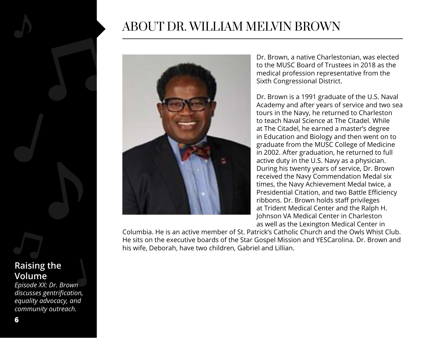### ABOUT DR. WILLIAM MELVIN BROWN



Dr. Brown, a native Charlestonian, was elected to the MUSC Board of Trustees in 2018 as the medical profession representative from the Sixth Congressional District.

Dr. Brown is a 1991 graduate of the U.S. Naval Academy and after years of service and two sea tours in the Navy, he returned to Charleston to teach Naval Science at The Citadel. While at The Citadel, he earned a master's degree in Education and Biology and then went on to graduate from the MUSC College of Medicine in 2002. After graduation, he returned to full active duty in the U.S. Navy as a physician. During his twenty years of service, Dr. Brown received the Navy Commendation Medal six times, the Navy Achievement Medal twice, a Presidential Citation, and two Battle Efficiency ribbons. Dr. Brown holds staff privileges at Trident Medical Center and the Ralph H. Johnson VA Medical Center in Charleston as well as the Lexington Medical Center in

Columbia. He is an active member of St. Patrick's Catholic Church and the Owls Whist Club. He sits on the executive boards of the Star Gospel Mission and YESCarolina. Dr. Brown and his wife, Deborah, have two children, Gabriel and Lillian.

#### **Raising the Volume**

*Episode XX: Dr. Brown discusses gentrification, equality advocacy, and community outreach.*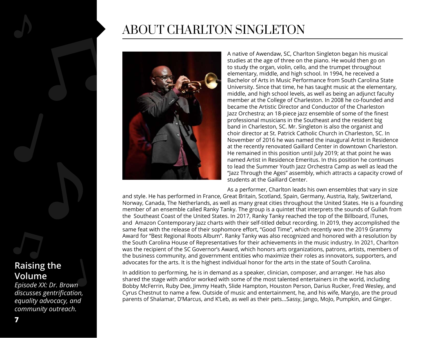

*Episode XX: Dr. Brown discusses gentrification, equality advocacy, and community outreach.*

### ABOUT CHARLTON SINGLETON



A native of Awendaw, SC, Charlton Singleton began his musical studies at the age of three on the piano. He would then go on to study the organ, violin, cello, and the trumpet throughout elementary, middle, and high school. In 1994, he received a Bachelor of Arts in Music Performance from South Carolina State University. Since that time, he has taught music at the elementary, middle, and high school levels, as well as being an adjunct faculty member at the College of Charleston. In 2008 he co-founded and became the Artistic Director and Conductor of the Charleston Jazz Orchestra; an 18-piece jazz ensemble of some of the finest professional musicians in the Southeast and the resident big band in Charleston, SC. Mr. Singleton is also the organist and choir director at St. Patrick Catholic Church in Charleston, SC. In November of 2016 he was named the inaugural Artist in Residence at the recently renovated Gaillard Center in downtown Charleston. He remained in this position until July 2019; at that point he was named Artist in Residence Emeritus. In this position he continues to lead the Summer Youth Jazz Orchestra Camp as well as lead the "Jazz Through the Ages" assembly, which attracts a capacity crowd of students at the Gaillard Center.

As a performer, Charlton leads his own ensembles that vary in size and style. He has performed in France, Great Britain, Scotland, Spain, Germany, Austria, Italy, Switzerland, Norway, Canada, The Netherlands, as well as many great cities throughout the United States. He is a founding member of an ensemble called Ranky Tanky. The group is a quintet that interprets the sounds of Gullah from the Southeast Coast of the United States. In 2017, Ranky Tanky reached the top of the Billboard, iTunes, and Amazon Contemporary Jazz charts with their self-titled debut recording. In 2019, they accomplished the same feat with the release of their sophomore effort, "Good Time", which recently won the 2019 Grammy Award for "Best Regional Roots Album". Ranky Tanky was also recognized and honored with a resolution by the South Carolina House of Representatives for their achievements in the music industry. In 2021, Charlton was the recipient of the SC Governor's Award, which honors arts organizations, patrons, artists, members of the business community, and government entities who maximize their roles as innovators, supporters, and advocates for the arts. It is the highest individual honor for the arts in the state of South Carolina.

In addition to performing, he is in demand as a speaker, clinician, composer, and arranger. He has also shared the stage with and/or worked with some of the most talented entertainers in the world, including Bobby McFerrin, Ruby Dee, Jimmy Heath, Slide Hampton, Houston Person, Darius Rucker, Fred Wesley, and Cyrus Chestnut to name a few. Outside of music and entertainment, he, and his wife, MaryJo, are the proud parents of Shalamar, D'Marcus, and K'Leb, as well as their pets...Sassy, Jango, MoJo, Pumpkin, and Ginger.